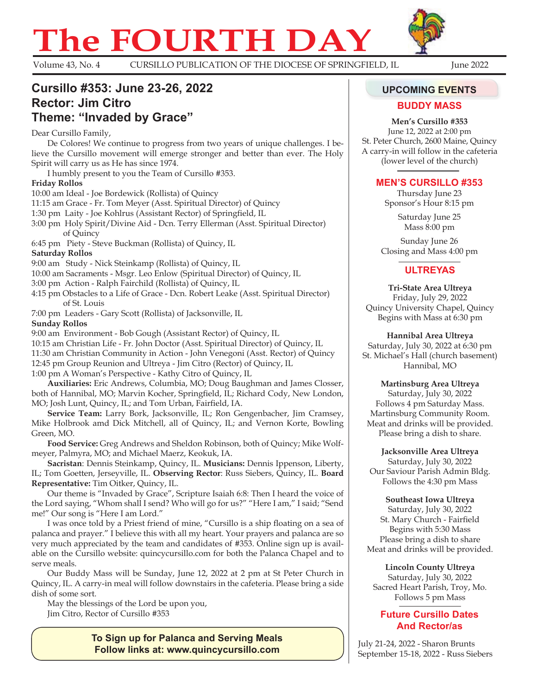# **The FOURTH DAY**



Volume 43, No. 4 CURSILLO PUBLICATION OF THE DIOCESE OF SPRINGFIELD, IL June 2022

## **Cursillo #353: June 23-26, 2022 Rector: Jim Citro Theme: "Invaded by Grace"**

Dear Cursillo Family,

De Colores! We continue to progress from two years of unique challenges. I believe the Cursillo movement will emerge stronger and better than ever. The Holy Spirit will carry us as He has since 1974.

I humbly present to you the Team of Cursillo #353.

#### **Friday Rollos**

10:00 am Ideal - Joe Bordewick (Rollista) of Quincy

11:15 am Grace - Fr. Tom Meyer (Asst. Spiritual Director) of Quincy

1:30 pm Laity - Joe Kohlrus (Assistant Rector) of Springfield, IL

3:00 pm Holy Spirit/Divine Aid - Dcn. Terry Ellerman (Asst. Spiritual Director) of Quincy

6:45 pm Piety - Steve Buckman (Rollista) of Quincy, IL

**Saturday Rollos**

9:00 am Study - Nick Steinkamp (Rollista) of Quincy, IL

10:00 am Sacraments - Msgr. Leo Enlow (Spiritual Director) of Quincy, IL

3:00 pm Action - Ralph Fairchild (Rollista) of Quincy, IL

4:15 pm Obstacles to a Life of Grace - Dcn. Robert Leake (Asst. Spiritual Director) of St. Louis

7:00 pm Leaders - Gary Scott (Rollista) of Jacksonville, IL

#### **Sunday Rollos**

9:00 am Environment - Bob Gough (Assistant Rector) of Quincy, IL

10:15 am Christian Life - Fr. John Doctor (Asst. Spiritual Director) of Quincy, IL

11:30 am Christian Community in Action - John Venegoni (Asst. Rector) of Quincy 12:45 pm Group Reunion and Ultreya - Jim Citro (Rector) of Quincy, IL

1:00 pm A Woman's Perspective - Kathy Citro of Quincy, IL

**Auxiliaries:** Eric Andrews, Columbia, MO; Doug Baughman and James Closser, both of Hannibal, MO; Marvin Kocher, Springfield, IL; Richard Cody, New London, MO; Josh Lunt, Quincy, IL; and Tom Urban, Fairfield, IA.

**Service Team:** Larry Bork, Jacksonville, IL; Ron Gengenbacher, Jim Cramsey, Mike Holbrook amd Dick Mitchell, all of Quincy, IL; and Vernon Korte, Bowling Green, MO.

**Food Service:** Greg Andrews and Sheldon Robinson, both of Quincy; Mike Wolfmeyer, Palmyra, MO; and Michael Maerz, Keokuk, IA.

**Sacristan**: Dennis Steinkamp, Quincy, IL. **Musicians:** Dennis Ippenson, Liberty, IL; Tom Goetten, Jerseyville, IL. **Observing Rector**: Russ Siebers, Quincy, IL. **Board Representative:** Tim Oitker, Quincy, IL.

Our theme is "Invaded by Grace", Scripture Isaiah 6:8: Then I heard the voice of the Lord saying, "Whom shall I send? Who will go for us?" "Here I am," I said; "Send me!" Our song is "Here I am Lord."

I was once told by a Priest friend of mine, "Cursillo is a ship floating on a sea of palanca and prayer." I believe this with all my heart. Your prayers and palanca are so very much appreciated by the team and candidates of #353. Online sign up is available on the Cursillo website: quincycursillo.com for both the Palanca Chapel and to serve meals.

Our Buddy Mass will be Sunday, June 12, 2022 at 2 pm at St Peter Church in Quincy, IL. A carry-in meal will follow downstairs in the cafeteria. Please bring a side dish of some sort.

May the blessings of the Lord be upon you, Jim Citro, Rector of Cursillo #353

> **To Sign up for Palanca and Serving Meals Follow links at: www.quincycursillo.com**

#### **UPCOMING EVENTS**

#### **BUDDY MASS**

**Men's Cursillo #353** June 12, 2022 at 2:00 pm St. Peter Church, 2600 Maine, Quincy A carry-in will follow in the cafeteria

(lower level of the church)

#### **MEN'S CURSILLO #353**

Thursday June 23 Sponsor's Hour 8:15 pm

> Saturday June 25 Mass 8:00 pm

Sunday June 26 Closing and Mass 4:00 pm

### **ULTREYAS**

**Tri-State Area Ultreya** Friday, July 29, 2022 Quincy University Chapel, Quincy Begins with Mass at 6:30 pm

#### **Hannibal Area Ultreya**

Saturday, July 30, 2022 at 6:30 pm St. Michael's Hall (church basement) Hannibal, MO

**Martinsburg Area Ultreya**

Saturday, July 30, 2022 Follows 4 pm Saturday Mass. Martinsburg Community Room. Meat and drinks will be provided. Please bring a dish to share.

**Jacksonville Area Ultreya** Saturday, July 30, 2022 Our Saviour Parish Admin Bldg. Follows the 4:30 pm Mass

#### **Southeast Iowa Ultreya**

Saturday, July 30, 2022 St. Mary Church - Fairfield Begins with 5:30 Mass Please bring a dish to share Meat and drinks will be provided.

**Lincoln County Ultreya** Saturday, July 30, 2022 Sacred Heart Parish, Troy, Mo. Follows 5 pm Mass

#### **Future Cursillo Dates and Rector/as**

July 21-24, 2022 - Sharon Brunts September 15-18, 2022 - Russ Siebers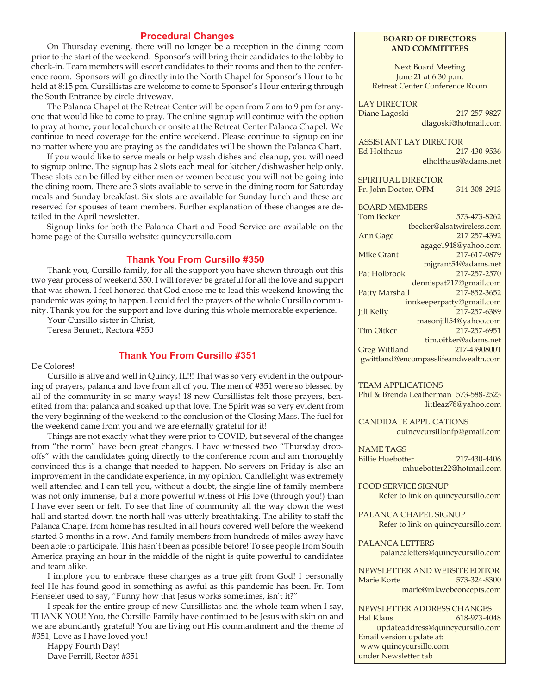#### **Procedural Changes**

On Thursday evening, there will no longer be a reception in the dining room prior to the start of the weekend. Sponsor's will bring their candidates to the lobby to check-in. Team members will escort candidates to their rooms and then to the conference room. Sponsors will go directly into the North Chapel for Sponsor's Hour to be held at 8:15 pm. Cursillistas are welcome to come to Sponsor's Hour entering through the South Entrance by circle driveway.

The Palanca Chapel at the Retreat Center will be open from 7 am to 9 pm for anyone that would like to come to pray. The online signup will continue with the option to pray at home, your local church or onsite at the Retreat Center Palanca Chapel. We continue to need coverage for the entire weekend. Please continue to signup online no matter where you are praying as the candidates will be shown the Palanca Chart.

If you would like to serve meals or help wash dishes and cleanup, you will need to signup online. The signup has 2 slots each meal for kitchen/dishwasher help only. These slots can be filled by either men or women because you will not be going into the dining room. There are 3 slots available to serve in the dining room for Saturday meals and Sunday breakfast. Six slots are available for Sunday lunch and these are reserved for spouses of team members. Further explanation of these changes are detailed in the April newsletter.

Signup links for both the Palanca Chart and Food Service are available on the home page of the Cursillo website: quincycursillo.com

#### **Thank You From Cursillo #350**

Thank you, Cursillo family, for all the support you have shown through out this two year process of weekend 350. I will forever be grateful for all the love and support that was shown. I feel honored that God chose me to lead this weekend knowing the pandemic was going to happen. I could feel the prayers of the whole Cursillo community. Thank you for the support and love during this whole memorable experience.

Your Cursillo sister in Christ,

Teresa Bennett, Rectora #350

#### **Thank You From Cursillo #351**

De Colores!

Cursillo is alive and well in Quincy, IL!!! That was so very evident in the outpouring of prayers, palanca and love from all of you. The men of #351 were so blessed by all of the community in so many ways! 18 new Cursillistas felt those prayers, benefited from that palanca and soaked up that love. The Spirit was so very evident from the very beginning of the weekend to the conclusion of the Closing Mass. The fuel for the weekend came from you and we are eternally grateful for it!

Things are not exactly what they were prior to COVID, but several of the changes from "the norm" have been great changes. I have witnessed two "Thursday dropoffs" with the candidates going directly to the conference room and am thoroughly convinced this is a change that needed to happen. No servers on Friday is also an improvement in the candidate experience, in my opinion. Candlelight was extremely well attended and I can tell you, without a doubt, the single line of family members was not only immense, but a more powerful witness of His love (through you!) than I have ever seen or felt. To see that line of community all the way down the west hall and started down the north hall was utterly breathtaking. The ability to staff the Palanca Chapel from home has resulted in all hours covered well before the weekend started 3 months in a row. And family members from hundreds of miles away have been able to participate. This hasn't been as possible before! To see people from South America praying an hour in the middle of the night is quite powerful to candidates and team alike.

I implore you to embrace these changes as a true gift from God! I personally feel He has found good in something as awful as this pandemic has been. Fr. Tom Henseler used to say, "Funny how that Jesus works sometimes, isn't it?"

I speak for the entire group of new Cursillistas and the whole team when I say, THANK YOU! You, the Cursillo Family have continued to be Jesus with skin on and we are abundantly grateful! You are living out His commandment and the theme of #351, Love as I have loved you!

Happy Fourth Day! Dave Ferrill, Rector #351

#### **BOARD OF DIRECTORS AND COMMITTEES**

Next Board Meeting June 21 at 6:30 p.m. Retreat Center Conference Room

LAY DIRECTOR Diane Lagoski 217-257-9827 dlagoski@hotmail.com

ASSISTANT LAY DIRECTOR Ed Holthaus 217-430-9536 elholthaus@adams.net

SPIRITUAL DIRECTOR

Fr. John Doctor, OFM 314-308-2913

BOARD MEMBERS Tom Becker 573-473-8262 tbecker@alsatwireless.com Ann Gage 217 257-4392 agage1948@yahoo.com Mike Grant 217-617-0879 mjgrant54@adams.net Pat Holbrook 217-257-2570 dennispat717@gmail.com Patty Marshall 217-852-3652 innkeeperpatty@gmail.com Jill Kelly 217-257-6389 masonjill54@yahoo.com Tim Oitker 217-257-6951 tim.oitker@adams.net Greg Wittland 217-43908001 gwittland@encompasslifeandwealth.com

TEAM APPLICATIONS

Phil & Brenda Leatherman 573-588-2523 littleaz78@yahoo.com

CANDIDATE APPLICATIONS quincycursillonfp@gmail.com

NAME TAGS Billie Huebotter 217-430-4406 mhuebotter22@hotmail.com

FOOD SERVICE SIGNUP Refer to link on quincycursillo.com

PALANCA CHAPEL SIGNUP

Refer to link on quincycursillo.com

PALANCA LETTERS palancaletters@quincycursillo.com

NEWSLETTER AND WEBSITE EDITOR Marie Korte 573-324-8300 marie@mkwebconcepts.com

NEWSLETTER ADDRESS CHANGES Hal Klaus 618-973-4048

updateaddress@quincycursillo.com Email version update at: www.quincycursillo.com under Newsletter tab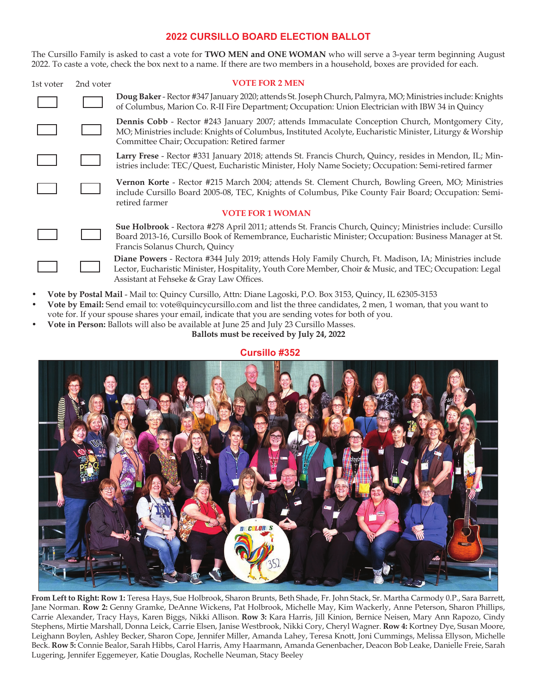#### **2022 CURSILLO BOARD ELECTION BALLOT**

The Cursillo Family is asked to cast a vote for **TWO MEN and ONE WOMAN** who will serve a 3-year term beginning August 2022. To caste a vote, check the box next to a name. If there are two members in a household, boxes are provided for each.

| 1st voter               | 2nd voter | <b>VOTE FOR 2 MEN</b>                                                                                                                                                                                                                                         |
|-------------------------|-----------|---------------------------------------------------------------------------------------------------------------------------------------------------------------------------------------------------------------------------------------------------------------|
|                         |           | Doug Baker - Rector #347 January 2020; attends St. Joseph Church, Palmyra, MO; Ministries include: Knights<br>of Columbus, Marion Co. R-II Fire Department; Occupation: Union Electrician with IBW 34 in Quincy                                               |
|                         |           | Dennis Cobb - Rector #243 January 2007; attends Immaculate Conception Church, Montgomery City,<br>MO; Ministries include: Knights of Columbus, Instituted Acolyte, Eucharistic Minister, Liturgy & Worship<br>Committee Chair; Occupation: Retired farmer     |
|                         |           | Larry Frese - Rector #331 January 2018; attends St. Francis Church, Quincy, resides in Mendon, IL; Min-<br>istries include: TEC/Quest, Eucharistic Minister, Holy Name Society; Occupation: Semi-retired farmer                                               |
|                         |           | Vernon Korte - Rector #215 March 2004; attends St. Clement Church, Bowling Green, MO; Ministries<br>include Cursillo Board 2005-08, TEC, Knights of Columbus, Pike County Fair Board; Occupation: Semi-<br>retired farmer                                     |
| <b>VOTE FOR 1 WOMAN</b> |           |                                                                                                                                                                                                                                                               |
|                         |           | Sue Holbrook - Rectora #278 April 2011; attends St. Francis Church, Quincy; Ministries include: Cursillo<br>Board 2013-16, Cursillo Book of Remembrance, Eucharistic Minister; Occupation: Business Manager at St.<br>Francis Solanus Church, Quincy          |
|                         |           | Diane Powers - Rectora #344 July 2019; attends Holy Family Church, Ft. Madison, IA; Ministries include<br>Lector, Eucharistic Minister, Hospitality, Youth Core Member, Choir & Music, and TEC; Occupation: Legal<br>Assistant at Fehseke & Gray Law Offices. |
|                         |           |                                                                                                                                                                                                                                                               |

- **Vote by Postal Mail** Mail to: Quincy Cursillo, Attn: Diane Lagoski, P.O. Box 3153, Quincy, IL 62305-3153
- **Vote by Email:** Send email to: vote@quincycursillo.com and list the three candidates, 2 men, 1 woman, that you want to vote for. If your spouse shares your email, indicate that you are sending votes for both of you.
- **Vote in Person:** Ballots will also be available at June 25 and July 23 Cursillo Masses.

**Ballots must be received by July 24, 2022** 

#### **Cursillo #352**



**From Left to Right: Row 1:** Teresa Hays, Sue Holbrook, Sharon Brunts, Beth Shade, Fr. John Stack, Sr. Martha Carmody 0.P., Sara Barrett, Jane Norman. **Row 2:** Genny Gramke, DeAnne Wickens, Pat Holbrook, Michelle May, Kim Wackerly, Anne Peterson, Sharon Phillips, Carrie Alexander, Tracy Hays, Karen Biggs, Nikki Allison. **Row 3:** Kara Harris, Jill Kinion, Bernice Neisen, Mary Ann Rapozo, Cindy Stephens, Mirtie Marshall, Donna Leick, Carrie Elsen, Janise Westbrook, Nikki Cory, Cheryl Wagner. **Row 4:** Kortney Dye, Susan Moore, Leighann Boylen, Ashley Becker, Sharon Cope, Jennifer Miller, Amanda Lahey, Teresa Knott, Joni Cummings, Melissa Ellyson, Michelle Beck. **Row 5:** Connie Bealor, Sarah Hibbs, Carol Harris, Amy Haarmann, Amanda Genenbacher, Deacon Bob Leake, Danielle Freie, Sarah Lugering, Jennifer Eggemeyer, Katie Douglas, Rochelle Neuman, Stacy Beeley